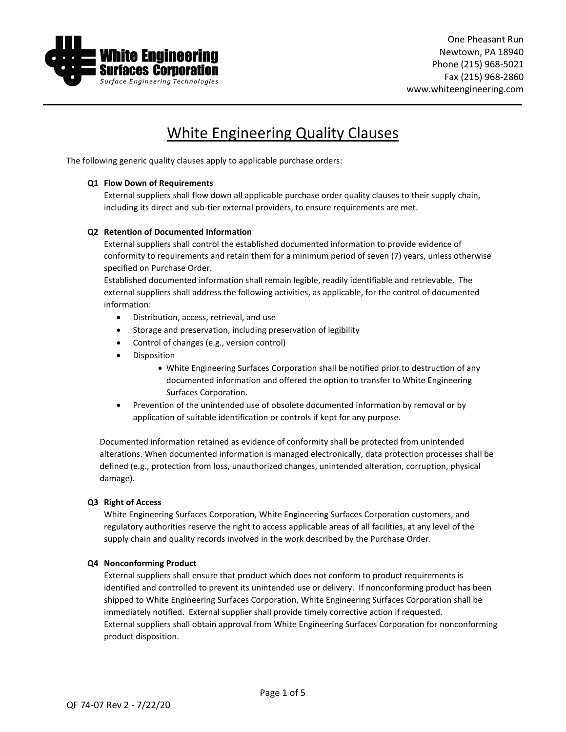

# White Engineering Quality Clauses

The following generic quality clauses apply to applicable purchase orders:

# **Q1 Flow Down of Requirements**

External suppliers shall flow down all applicable purchase order quality clauses to their supply chain, including its direct and sub-tier external providers, to ensure requirements are met.

# **Q2 Retention of Documented Information**

External suppliers shall control the established documented information to provide evidence of conformity to requirements and retain them for a minimum period of seven (7) years, unless otherwise specified on Purchase Order.

Established documented information shall remain legible, readily identifiable and retrievable. The external suppliers shall address the following activities, as applicable, for the control of documented information:

- Distribution, access, retrieval, and use
- Storage and preservation, including preservation of legibility
- Control of changes (e.g., version control)
- Disposition
	- White Engineering Surfaces Corporation shall be notified prior to destruction of any documented information and offered the option to transfer to White Engineering Surfaces Corporation.
- Prevention of the unintended use of obsolete documented information by removal or by application of suitable identification or controls if kept for any purpose.

Documented information retained as evidence of conformity shall be protected from unintended alterations. When documented information is managed electronically, data protection processes shall be defined (e.g., protection from loss, unauthorized changes, unintended alteration, corruption, physical damage).

# **Q3 Right of Access**

White Engineering Surfaces Corporation, White Engineering Surfaces Corporation customers, and regulatory authorities reserve the right to access applicable areas of all facilities, at any level of the supply chain and quality records involved in the work described by the Purchase Order.

# **Q4 Nonconforming Product**

External suppliers shall ensure that product which does not conform to product requirements is identified and controlled to prevent its unintended use or delivery. If nonconforming product has been shipped to White Engineering Surfaces Corporation, White Engineering Surfaces Corporation shall be immediately notified. External supplier shall provide timely corrective action if requested. External suppliers shall obtain approval from White Engineering Surfaces Corporation for nonconforming product disposition.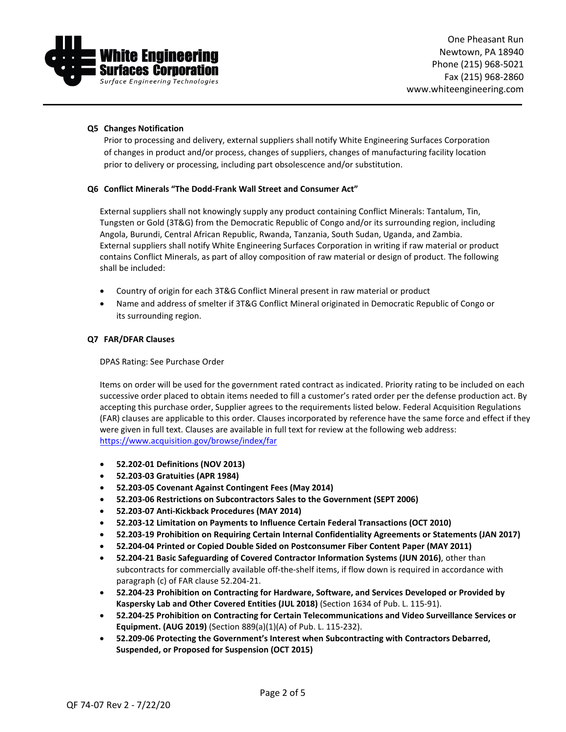

### **Q5 Changes Notification**

Prior to processing and delivery, external suppliers shall notify White Engineering Surfaces Corporation of changes in product and/or process, changes of suppliers, changes of manufacturing facility location prior to delivery or processing, including part obsolescence and/or substitution.

#### **Q6 Conflict Minerals "The Dodd-Frank Wall Street and Consumer Act"**

External suppliers shall not knowingly supply any product containing Conflict Minerals: Tantalum, Tin, Tungsten or Gold (3T&G) from the Democratic Republic of Congo and/or its surrounding region, including Angola, Burundi, Central African Republic, Rwanda, Tanzania, South Sudan, Uganda, and Zambia. External suppliers shall notify White Engineering Surfaces Corporation in writing if raw material or product contains Conflict Minerals, as part of alloy composition of raw material or design of product. The following shall be included:

- Country of origin for each 3T&G Conflict Mineral present in raw material or product
- Name and address of smelter if 3T&G Conflict Mineral originated in Democratic Republic of Congo or its surrounding region.

#### **Q7 FAR/DFAR Clauses**

DPAS Rating: See Purchase Order

Items on order will be used for the government rated contract as indicated. Priority rating to be included on each successive order placed to obtain items needed to fill a customer's rated order per the defense production act. By accepting this purchase order, Supplier agrees to the requirements listed below. Federal Acquisition Regulations (FAR) clauses are applicable to this order. Clauses incorporated by reference have the same force and effect if they were given in full text. Clauses are available in full text for review at the following web address: <https://www.acquisition.gov/browse/index/far>

- **52.202-01 Definitions (NOV 2013)**
- **52.203-03 Gratuities (APR 1984)**
- **52.203-05 Covenant Against Contingent Fees (May 2014)**
- **52.203-06 Restrictions on Subcontractors Sales to the Government (SEPT 2006)**
- **52.203-07 Anti-Kickback Procedures (MAY 2014)**
- **52.203-12 Limitation on Payments to Influence Certain Federal Transactions (OCT 2010)**
- **52.203-19 Prohibition on Requiring Certain Internal Confidentiality Agreements or Statements (JAN 2017)**
- **52.204-04 Printed or Copied Double Sided on Postconsumer Fiber Content Paper (MAY 2011)**
- **52.204-21 Basic Safeguarding of Covered Contractor Information Systems (JUN 2016)**, other than subcontracts for commercially available off-the-shelf items, if flow down is required in accordance with paragraph (c) of FAR clause 52.204-21.
- **52.204-23 Prohibition on Contracting for Hardware, Software, and Services Developed or Provided by Kaspersky Lab and Other Covered Entities (JUL 2018)** (Section 1634 of Pub. L. 115-91).
- **52.204-25 Prohibition on Contracting for Certain Telecommunications and Video Surveillance Services or Equipment. (AUG 2019)** (Section 889(a)(1)(A) of Pub. L. 115-232).
- **52.209-06 Protecting the Government's Interest when Subcontracting with Contractors Debarred, Suspended, or Proposed for Suspension (OCT 2015)**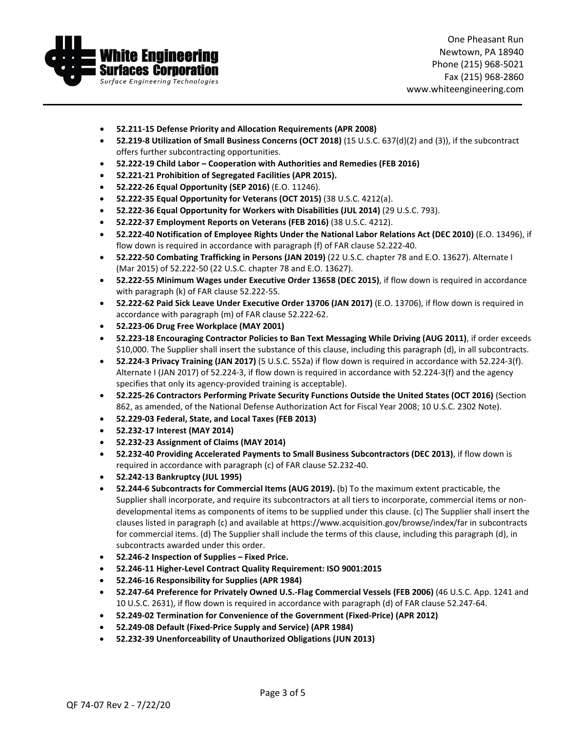

One Pheasant Run Newtown, PA 18940 Phone (215) 968-5021 Fax (215) 968-2860 www.whiteengineering.com

- **52.211-15 Defense Priority and Allocation Requirements (APR 2008)**
- **52.219-8 Utilization of Small Business Concerns (OCT 2018)** (15 U.S.C. 637(d)(2) and (3)), if the subcontract offers further subcontracting opportunities.
- **52.222-19 Child Labor – Cooperation with Authorities and Remedies (FEB 2016)**
- **52.221-21 Prohibition of Segregated Facilities (APR 2015).**
- **52.222-26 Equal Opportunity (SEP 2016)** (E.O. 11246).
- **52.222-35 Equal Opportunity for Veterans (OCT 2015)** (38 U.S.C. 4212(a).
- **52.222-36 Equal Opportunity for Workers with Disabilities (JUL 2014)** (29 U.S.C. 793).
- **52.222-37 Employment Reports on Veterans (FEB 2016)** (38 U.S.C. 4212).
- **52.222-40 Notification of Employee Rights Under the National Labor Relations Act (DEC 2010)** (E.O. 13496), if flow down is required in accordance with paragraph (f) of FAR clause 52.222-40.
- **52.222-50 Combating Trafficking in Persons (JAN 2019)** (22 U.S.C. chapter 78 and E.O. 13627). Alternate I (Mar 2015) of 52.222-50 (22 U.S.C. chapter 78 and E.O. 13627).
- **52.222-55 Minimum Wages under Executive Order 13658 (DEC 2015)**, if flow down is required in accordance with paragraph (k) of FAR clause 52.222-55.
- **52.222-62 Paid Sick Leave Under Executive Order 13706 (JAN 2017)** (E.O. 13706), if flow down is required in accordance with paragraph (m) of FAR clause 52.222-62.
- **52.223-06 Drug Free Workplace (MAY 2001)**
- **52.223-18 Encouraging Contractor Policies to Ban Text Messaging While Driving (AUG 2011)**, if order exceeds \$10,000. The Supplier shall insert the substance of this clause, including this paragraph (d), in all subcontracts.
- **52.224-3 Privacy Training (JAN 2017)** (5 U.S.C. 552a) if flow down is required in accordance with 52.224-3(f). Alternate I (JAN 2017) of 52.224-3, if flow down is required in accordance with 52.224-3(f) and the agency specifies that only its agency-provided training is acceptable).
- **52.225-26 Contractors Performing Private Security Functions Outside the United States (OCT 2016)** (Section 862, as amended, of the National Defense Authorization Act for Fiscal Year 2008; 10 U.S.C. 2302 Note).
- **52.229-03 Federal, State, and Local Taxes (FEB 2013)**
- **52.232-17 Interest (MAY 2014)**
- **52.232-23 Assignment of Claims (MAY 2014)**
- **52.232-40 Providing Accelerated Payments to Small Business Subcontractors (DEC 2013)**, if flow down is required in accordance with paragraph (c) of FAR clause 52.232-40.
- **52.242-13 Bankruptcy (JUL 1995)**
- **52.244-6 Subcontracts for Commercial Items (AUG 2019).** (b) To the maximum extent practicable, the Supplier shall incorporate, and require its subcontractors at all tiers to incorporate, commercial items or nondevelopmental items as components of items to be supplied under this clause. (c) The Supplier shall insert the clauses listed in paragraph (c) and available at https://www.acquisition.gov/browse/index/far in subcontracts for commercial items. (d) The Supplier shall include the terms of this clause, including this paragraph (d), in subcontracts awarded under this order.
- **52.246-2 Inspection of Supplies – Fixed Price.**
- **52.246-11 Higher-Level Contract Quality Requirement: ISO 9001:2015**
- **52.246-16 Responsibility for Supplies (APR 1984)**
- **52.247-64 Preference for Privately Owned U.S.-Flag Commercial Vessels (FEB 2006)** (46 U.S.C. App. 1241 and 10 U.S.C. 2631), if flow down is required in accordance with paragraph (d) of FAR clause 52.247-64.
- **52.249-02 Termination for Convenience of the Government (Fixed-Price) (APR 2012)**
- **52.249-08 Default (Fixed-Price Supply and Service) (APR 1984)**
- **52.232-39 Unenforceability of Unauthorized Obligations (JUN 2013)**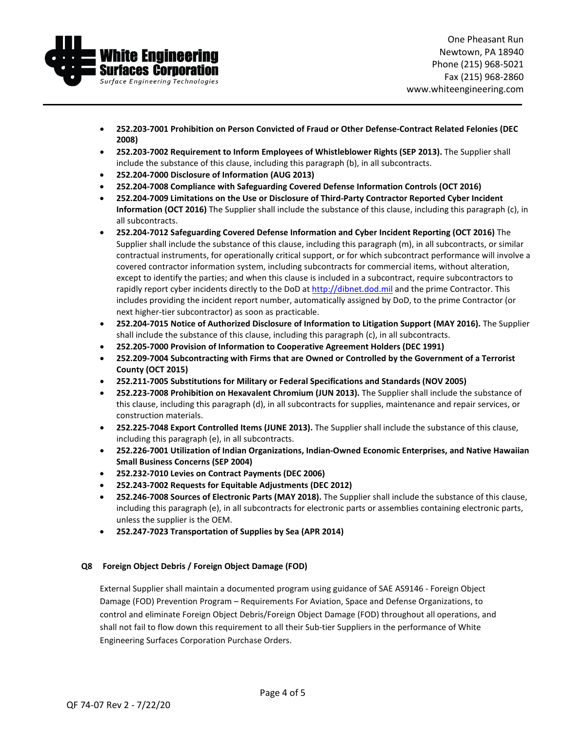

- **252.203-7001 Prohibition on Person Convicted of Fraud or Other Defense-Contract Related Felonies (DEC 2008)**
- **252.203-7002 Requirement to Inform Employees of Whistleblower Rights (SEP 2013).** The Supplier shall include the substance of this clause, including this paragraph (b), in all subcontracts.
- **252.204-7000 Disclosure of Information (AUG 2013)**
- **252.204-7008 Compliance with Safeguarding Covered Defense Information Controls (OCT 2016)**
- **252.204-7009 Limitations on the Use or Disclosure of Third-Party Contractor Reported Cyber Incident Information (OCT 2016)** The Supplier shall include the substance of this clause, including this paragraph (c), in all subcontracts.
- **252.204-7012 Safeguarding Covered Defense Information and Cyber Incident Reporting (OCT 2016)** The Supplier shall include the substance of this clause, including this paragraph (m), in all subcontracts, or similar contractual instruments, for operationally critical support, or for which subcontract performance will involve a covered contractor information system, including subcontracts for commercial items, without alteration, except to identify the parties; and when this clause is included in a subcontract, require subcontractors to rapidly report cyber incidents directly to the DoD a[t http://dibnet.dod.mil](http://dibnet.dod.mil/) and the prime Contractor. This includes providing the incident report number, automatically assigned by DoD, to the prime Contractor (or next higher-tier subcontractor) as soon as practicable.
- **252.204-7015 Notice of Authorized Disclosure of Information to Litigation Support (MAY 2016).** The Supplier shall include the substance of this clause, including this paragraph (c), in all subcontracts.
- **252.205-7000 Provision of Information to Cooperative Agreement Holders (DEC 1991)**
- **252.209-7004 Subcontracting with Firms that are Owned or Controlled by the Government of a Terrorist County (OCT 2015)**
- **252.211-7005 Substitutions for Military or Federal Specifications and Standards (NOV 2005)**
- **252.223-7008 Prohibition on Hexavalent Chromium (JUN 2013).** The Supplier shall include the substance of this clause, including this paragraph (d), in all subcontracts for supplies, maintenance and repair services, or construction materials.
- **252.225-7048 Export Controlled Items (JUNE 2013).** The Supplier shall include the substance of this clause, including this paragraph (e), in all subcontracts.
- **252.226-7001 Utilization of Indian Organizations, Indian-Owned Economic Enterprises, and Native Hawaiian Small Business Concerns (SEP 2004)**
- **252.232-7010 Levies on Contract Payments (DEC 2006)**
- **252.243-7002 Requests for Equitable Adjustments (DEC 2012)**
- **252.246-7008 Sources of Electronic Parts (MAY 2018).** The Supplier shall include the substance of this clause, including this paragraph (e), in all subcontracts for electronic parts or assemblies containing electronic parts, unless the supplier is the OEM.
- **252.247-7023 Transportation of Supplies by Sea (APR 2014)**

# **Q8 Foreign Object Debris / Foreign Object Damage (FOD)**

External Supplier shall maintain a documented program using guidance of SAE AS9146 - Foreign Object Damage (FOD) Prevention Program – Requirements For Aviation, Space and Defense Organizations, to control and eliminate Foreign Object Debris/Foreign Object Damage (FOD) throughout all operations, and shall not fail to flow down this requirement to all their Sub-tier Suppliers in the performance of White Engineering Surfaces Corporation Purchase Orders.